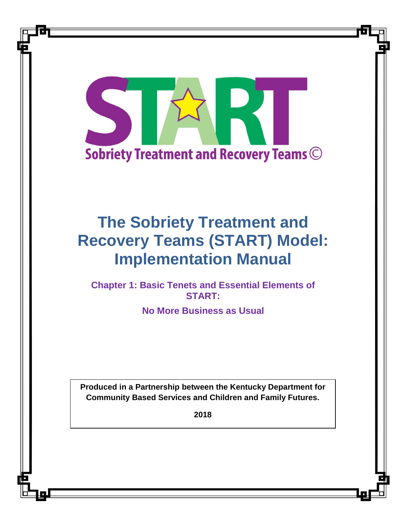

# **The Sobriety Treatment and Recovery Teams (START) Model: Implementation Manual**

**Chapter 1: Basic Tenets and Essential Elements of START:** 

**No More Business as Usual**

**Produced in a Partnership between the Kentucky Department for Community Based Services and Children and Family Futures.**

**2018**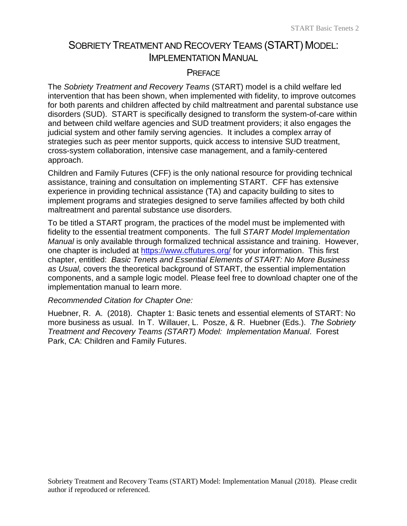# SOBRIETY TREATMENT AND RECOVERY TEAMS (START) MODEL: IMPLEMENTATION MANUAL

#### **PREFACE**

The *Sobriety Treatment and Recovery Teams* (START) model is a child welfare led intervention that has been shown, when implemented with fidelity, to improve outcomes for both parents and children affected by child maltreatment and parental substance use disorders (SUD). START is specifically designed to transform the system-of-care within and between child welfare agencies and SUD treatment providers; it also engages the judicial system and other family serving agencies. It includes a complex array of strategies such as peer mentor supports, quick access to intensive SUD treatment, cross-system collaboration, intensive case management, and a family-centered approach.

Children and Family Futures (CFF) is the only national resource for providing technical assistance, training and consultation on implementing START. CFF has extensive experience in providing technical assistance (TA) and capacity building to sites to implement programs and strategies designed to serve families affected by both child maltreatment and parental substance use disorders.

To be titled a START program, the practices of the model must be implemented with fidelity to the essential treatment components. The full *START Model Implementation Manual* is only available through formalized technical assistance and training. However, one chapter is included at<https://www.cffutures.org/> for your information. This first chapter, entitled: *Basic Tenets and Essential Elements of START: No More Business as Usual,* covers the theoretical background of START, the essential implementation components, and a sample logic model. Please feel free to download chapter one of the implementation manual to learn more.

#### *Recommended Citation for Chapter One:*

Huebner, R. A. (2018). Chapter 1: Basic tenets and essential elements of START: No more business as usual. In T. Willauer, L. Posze, & R. Huebner (Eds.). *The Sobriety Treatment and Recovery Teams (START) Model: Implementation Manual*. Forest Park, CA: Children and Family Futures.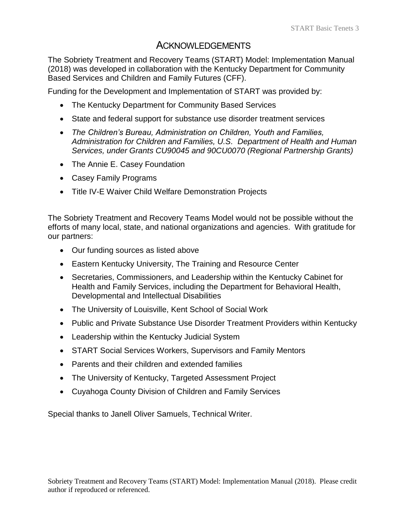# **ACKNOWLEDGEMENTS**

The Sobriety Treatment and Recovery Teams (START) Model: Implementation Manual (2018) was developed in collaboration with the Kentucky Department for Community Based Services and Children and Family Futures (CFF).

Funding for the Development and Implementation of START was provided by:

- The Kentucky Department for Community Based Services
- State and federal support for substance use disorder treatment services
- *The Children's Bureau, Administration on Children, Youth and Families, Administration for Children and Families, U.S. Department of Health and Human Services, under Grants CU90045 and 90CU0070 (Regional Partnership Grants)*
- The Annie E. Casey Foundation
- Casey Family Programs
- Title IV-E Waiver Child Welfare Demonstration Projects

The Sobriety Treatment and Recovery Teams Model would not be possible without the efforts of many local, state, and national organizations and agencies. With gratitude for our partners:

- Our funding sources as listed above
- Eastern Kentucky University, The Training and Resource Center
- Secretaries, Commissioners, and Leadership within the Kentucky Cabinet for Health and Family Services, including the Department for Behavioral Health, Developmental and Intellectual Disabilities
- The University of Louisville, Kent School of Social Work
- Public and Private Substance Use Disorder Treatment Providers within Kentucky
- Leadership within the Kentucky Judicial System
- START Social Services Workers, Supervisors and Family Mentors
- Parents and their children and extended families
- The University of Kentucky, Targeted Assessment Project
- Cuyahoga County Division of Children and Family Services

Special thanks to Janell Oliver Samuels, Technical Writer.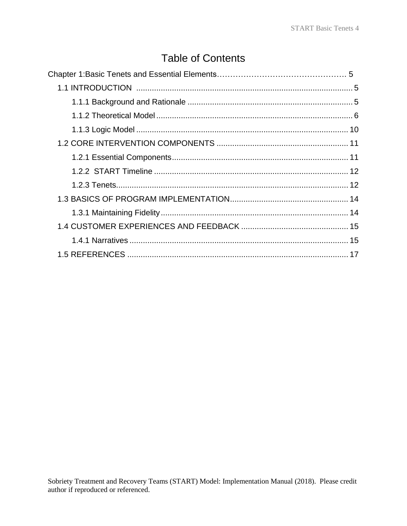# **Table of Contents**

| 1.5 REFERENCES ………………………………………………………………………………………… 17 |  |
|------------------------------------------------------|--|
|                                                      |  |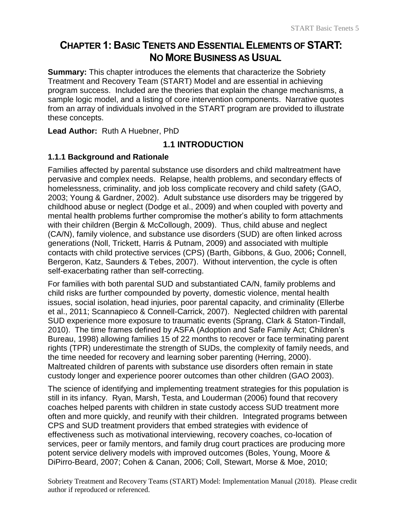# **CHAPTER 1: BASIC TENETS AND ESSENTIAL ELEMENTS OF START: NO MORE BUSINESS AS USUAL**

**Summary:** This chapter introduces the elements that characterize the Sobriety Treatment and Recovery Team (START) Model and are essential in achieving program success. Included are the theories that explain the change mechanisms, a sample logic model, and a listing of core intervention components. Narrative quotes from an array of individuals involved in the START program are provided to illustrate these concepts.

<span id="page-4-0"></span>**Lead Author:** Ruth A Huebner, PhD

# **1.1 INTRODUCTION**

#### <span id="page-4-1"></span>**1.1.1 Background and Rationale**

Families affected by parental substance use disorders and child maltreatment have pervasive and complex needs. Relapse, health problems, and secondary effects of homelessness, criminality, and job loss complicate recovery and child safety (GAO, 2003; Young & Gardner, 2002). Adult substance use disorders may be triggered by childhood abuse or neglect (Dodge et al., 2009) and when coupled with poverty and mental health problems further compromise the mother's ability to form attachments with their children (Bergin & McCollough, 2009). Thus, child abuse and neglect (CA/N), family violence, and substance use disorders (SUD) are often linked across generations (Noll, Trickett, Harris & Putnam, 2009) and associated with multiple contacts with child protective services (CPS) (Barth, Gibbons, & Guo, 2006**;** Connell, Bergeron, Katz, Saunders & Tebes, 2007). Without intervention, the cycle is often self-exacerbating rather than self-correcting.

For families with both parental SUD and substantiated CA/N, family problems and child risks are further compounded by poverty, domestic violence, mental health issues, social isolation, head injuries, poor parental capacity, and criminality (Ellerbe et al., 2011; Scannapieco & Connell-Carrick, 2007). Neglected children with parental SUD experience more exposure to traumatic events (Sprang, Clark & Staton-Tindall, 2010). The time frames defined by ASFA (Adoption and Safe Family Act; Children's Bureau, 1998) allowing families 15 of 22 months to recover or face terminating parent rights (TPR) underestimate the strength of SUDs, the complexity of family needs, and the time needed for recovery and learning sober parenting (Herring, 2000). Maltreated children of parents with substance use disorders often remain in state custody longer and experience poorer outcomes than other children (GAO 2003).

The science of identifying and implementing treatment strategies for this population is still in its infancy. Ryan, Marsh, Testa, and Louderman (2006) found that recovery coaches helped parents with children in state custody access SUD treatment more often and more quickly, and reunify with their children. Integrated programs between CPS and SUD treatment providers that embed strategies with evidence of effectiveness such as motivational interviewing, recovery coaches, co-location of services, peer or family mentors, and family drug court practices are producing more potent service delivery models with improved outcomes (Boles, Young, Moore & DiPirro-Beard, 2007; Cohen & Canan, 2006; Coll, Stewart, Morse & Moe, 2010;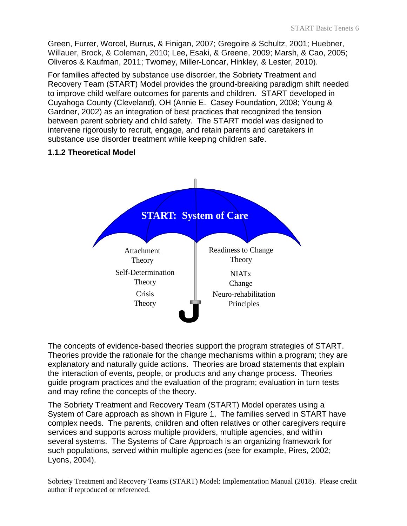Green, Furrer, Worcel, Burrus, & Finigan, 2007; Gregoire & Schultz, 2001; Huebner, Willauer, Brock, & Coleman, 2010; Lee, Esaki, & Greene, 2009; Marsh, & Cao, 2005; Oliveros & Kaufman, 2011; Twomey, Miller-Loncar, Hinkley, & Lester, 2010).

For families affected by substance use disorder, the Sobriety Treatment and Recovery Team (START) Model provides the ground-breaking paradigm shift needed to improve child welfare outcomes for parents and children. START developed in Cuyahoga County (Cleveland), OH (Annie E. Casey Foundation, 2008; Young & Gardner, 2002) as an integration of best practices that recognized the tension between parent sobriety and child safety. The START model was designed to intervene rigorously to recruit, engage, and retain parents and caretakers in substance use disorder treatment while keeping children safe.

# <span id="page-5-0"></span>**1.1.2 Theoretical Model**



The concepts of evidence-based theories support the program strategies of START. Theories provide the rationale for the change mechanisms within a program; they are explanatory and naturally guide actions. Theories are broad statements that explain the interaction of events, people, or products and any change process. Theories guide program practices and the evaluation of the program; evaluation in turn tests and may refine the concepts of the theory.

The Sobriety Treatment and Recovery Team (START) Model operates using a System of Care approach as shown in Figure 1. The families served in START have complex needs. The parents, children and often relatives or other caregivers require services and supports across multiple providers, multiple agencies, and within several systems. The Systems of Care Approach is an organizing framework for such populations, served within multiple agencies (see for example, Pires, 2002; Lyons, 2004).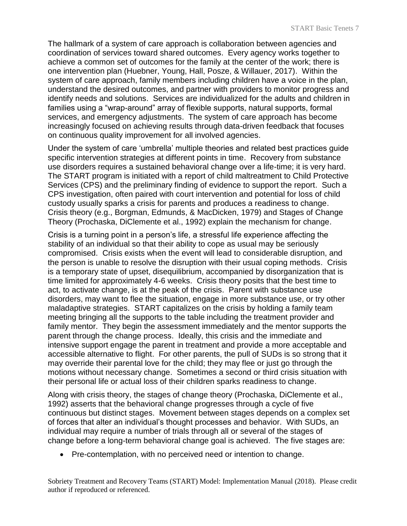The hallmark of a system of care approach is collaboration between agencies and coordination of services toward shared outcomes. Every agency works together to achieve a common set of outcomes for the family at the center of the work; there is one intervention plan (Huebner, Young, Hall, Posze, & Willauer, 2017). Within the system of care approach, family members including children have a voice in the plan, understand the desired outcomes, and partner with providers to monitor progress and identify needs and solutions. Services are individualized for the adults and children in families using a "wrap-around" array of flexible supports, natural supports, formal services, and emergency adjustments. The system of care approach has become increasingly focused on achieving results through data-driven feedback that focuses on continuous quality improvement for all involved agencies.

Under the system of care 'umbrella' multiple theories and related best practices guide specific intervention strategies at different points in time. Recovery from substance use disorders requires a sustained behavioral change over a life-time; it is very hard. The START program is initiated with a report of child maltreatment to Child Protective Services (CPS) and the preliminary finding of evidence to support the report. Such a CPS investigation, often paired with court intervention and potential for loss of child custody usually sparks a crisis for parents and produces a readiness to change. Crisis theory (e.g., Borgman, Edmunds, & MacDicken, 1979) and Stages of Change Theory (Prochaska, DiClemente et al., 1992) explain the mechanism for change.

Crisis is a turning point in a person's life, a stressful life experience affecting the stability of an individual so that their ability to cope as usual may be seriously compromised. Crisis exists when the event will lead to considerable disruption, and the person is unable to resolve the disruption with their usual coping methods. Crisis is a temporary state of upset, disequilibrium, accompanied by disorganization that is time limited for approximately 4-6 weeks. Crisis theory posits that the best time to act, to activate change, is at the peak of the crisis. Parent with substance use disorders, may want to flee the situation, engage in more substance use, or try other maladaptive strategies. START capitalizes on the crisis by holding a family team meeting bringing all the supports to the table including the treatment provider and family mentor. They begin the assessment immediately and the mentor supports the parent through the change process. Ideally, this crisis and the immediate and intensive support engage the parent in treatment and provide a more acceptable and accessible alternative to flight. For other parents, the pull of SUDs is so strong that it may override their parental love for the child; they may flee or just go through the motions without necessary change. Sometimes a second or third crisis situation with their personal life or actual loss of their children sparks readiness to change.

Along with crisis theory, the stages of change theory (Prochaska, DiClemente et al., 1992) asserts that the behavioral change progresses through a cycle of five continuous but distinct stages. Movement between stages depends on a complex set of forces that alter an individual's thought processes and behavior. With SUDs, an individual may require a number of trials through all or several of the stages of change before a long-term behavioral change goal is achieved. The five stages are:

• Pre-contemplation, with no perceived need or intention to change.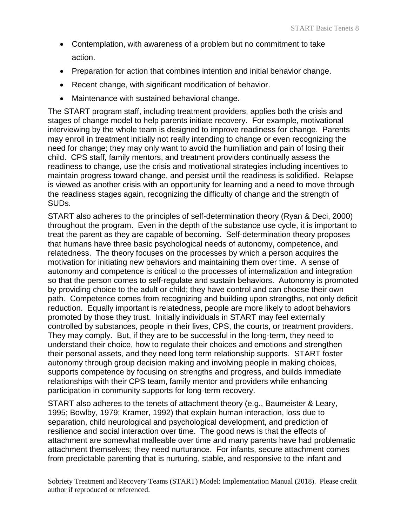- Contemplation, with awareness of a problem but no commitment to take action.
- Preparation for action that combines intention and initial behavior change.
- Recent change, with significant modification of behavior.
- Maintenance with sustained behavioral change.

The START program staff, including treatment providers, applies both the crisis and stages of change model to help parents initiate recovery. For example, motivational interviewing by the whole team is designed to improve readiness for change. Parents may enroll in treatment initially not really intending to change or even recognizing the need for change; they may only want to avoid the humiliation and pain of losing their child. CPS staff, family mentors, and treatment providers continually assess the readiness to change, use the crisis and motivational strategies including incentives to maintain progress toward change, and persist until the readiness is solidified. Relapse is viewed as another crisis with an opportunity for learning and a need to move through the readiness stages again, recognizing the difficulty of change and the strength of SUDs.

START also adheres to the principles of self-determination theory (Ryan & Deci, 2000) throughout the program. Even in the depth of the substance use cycle, it is important to treat the parent as they are capable of becoming. Self-determination theory proposes that humans have three basic psychological needs of autonomy, competence, and relatedness. The theory focuses on the processes by which a person acquires the motivation for initiating new behaviors and maintaining them over time. A sense of autonomy and competence is critical to the processes of internalization and integration so that the person comes to self-regulate and sustain behaviors. Autonomy is promoted by providing choice to the adult or child; they have control and can choose their own path. Competence comes from recognizing and building upon strengths, not only deficit reduction. Equally important is relatedness, people are more likely to adopt behaviors promoted by those they trust. Initially individuals in START may feel externally controlled by substances, people in their lives, CPS, the courts, or treatment providers. They may comply. But, if they are to be successful in the long-term, they need to understand their choice, how to regulate their choices and emotions and strengthen their personal assets, and they need long term relationship supports. START foster autonomy through group decision making and involving people in making choices, supports competence by focusing on strengths and progress, and builds immediate relationships with their CPS team, family mentor and providers while enhancing participation in community supports for long-term recovery.

START also adheres to the tenets of attachment theory (e.g., Baumeister & Leary, 1995; Bowlby, 1979; Kramer, 1992) that explain human interaction, loss due to separation, child neurological and psychological development, and prediction of resilience and social interaction over time. The good news is that the effects of attachment are somewhat malleable over time and many parents have had problematic attachment themselves; they need nurturance. For infants, secure attachment comes from predictable parenting that is nurturing, stable, and responsive to the infant and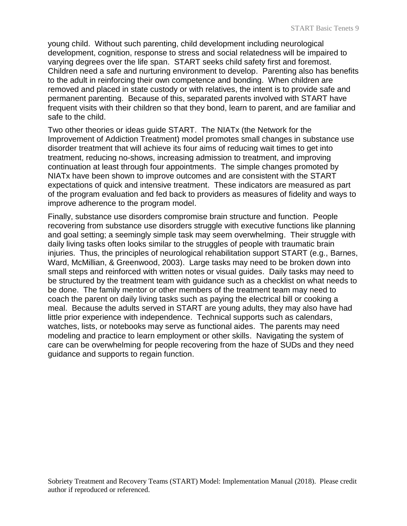young child. Without such parenting, child development including neurological development, cognition, response to stress and social relatedness will be impaired to varying degrees over the life span. START seeks child safety first and foremost. Children need a safe and nurturing environment to develop. Parenting also has benefits to the adult in reinforcing their own competence and bonding. When children are removed and placed in state custody or with relatives, the intent is to provide safe and permanent parenting. Because of this, separated parents involved with START have frequent visits with their children so that they bond, learn to parent, and are familiar and safe to the child.

Two other theories or ideas guide START. The NIATx (the Network for the Improvement of Addiction Treatment) model promotes small changes in substance use disorder treatment that will achieve its four aims of reducing wait times to get into treatment, reducing no-shows, increasing admission to treatment, and improving continuation at least through four appointments. The simple changes promoted by NIATx have been shown to improve outcomes and are consistent with the START expectations of quick and intensive treatment. These indicators are measured as part of the program evaluation and fed back to providers as measures of fidelity and ways to improve adherence to the program model.

Finally, substance use disorders compromise brain structure and function. People recovering from substance use disorders struggle with executive functions like planning and goal setting; a seemingly simple task may seem overwhelming. Their struggle with daily living tasks often looks similar to the struggles of people with traumatic brain injuries. Thus, the principles of neurological rehabilitation support START (e.g., Barnes, Ward, McMillian, & Greenwood, 2003). Large tasks may need to be broken down into small steps and reinforced with written notes or visual guides. Daily tasks may need to be structured by the treatment team with guidance such as a checklist on what needs to be done. The family mentor or other members of the treatment team may need to coach the parent on daily living tasks such as paying the electrical bill or cooking a meal. Because the adults served in START are young adults, they may also have had little prior experience with independence. Technical supports such as calendars, watches, lists, or notebooks may serve as functional aides. The parents may need modeling and practice to learn employment or other skills. Navigating the system of care can be overwhelming for people recovering from the haze of SUDs and they need guidance and supports to regain function.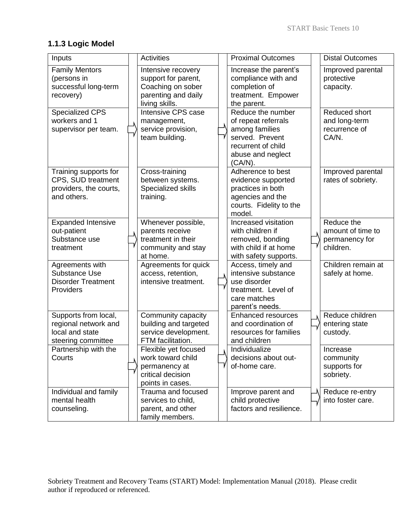# <span id="page-9-0"></span>**1.1.3 Logic Model**

| Inputs                                                                                | <b>Activities</b>                                                                                       | <b>Proximal Outcomes</b>                                                                                                               | <b>Distal Outcomes</b>                                          |
|---------------------------------------------------------------------------------------|---------------------------------------------------------------------------------------------------------|----------------------------------------------------------------------------------------------------------------------------------------|-----------------------------------------------------------------|
| <b>Family Mentors</b><br>(persons in<br>successful long-term<br>recovery)             | Intensive recovery<br>support for parent,<br>Coaching on sober<br>parenting and daily<br>living skills. | Increase the parent's<br>compliance with and<br>completion of<br>treatment. Empower<br>the parent.                                     | Improved parental<br>protective<br>capacity.                    |
| Specialized CPS<br>workers and 1<br>supervisor per team.                              | Intensive CPS case<br>management,<br>service provision,<br>team building.                               | Reduce the number<br>of repeat referrals<br>among families<br>served. Prevent<br>recurrent of child<br>abuse and neglect<br>$(CA/N)$ . | <b>Reduced short</b><br>and long-term<br>recurrence of<br>CA/N. |
| Training supports for<br>CPS, SUD treatment<br>providers, the courts,<br>and others.  | Cross-training<br>between systems.<br><b>Specialized skills</b><br>training.                            | Adherence to best<br>evidence supported<br>practices in both<br>agencies and the<br>courts. Fidelity to the<br>model.                  | Improved parental<br>rates of sobriety.                         |
| <b>Expanded Intensive</b><br>out-patient<br>Substance use<br>treatment                | Whenever possible,<br>parents receive<br>treatment in their<br>community and stay<br>at home.           | Increased visitation<br>with children if<br>removed, bonding<br>with child if at home<br>with safety supports.                         | Reduce the<br>amount of time to<br>permanency for<br>children.  |
| Agreements with<br><b>Substance Use</b><br><b>Disorder Treatment</b><br>Providers     | Agreements for quick<br>access, retention,<br>intensive treatment.                                      | Access, timely and<br>intensive substance<br>use disorder<br>treatment. Level of<br>care matches<br>parent's needs.                    | Children remain at<br>safely at home.                           |
| Supports from local,<br>regional network and<br>local and state<br>steering committee | Community capacity<br>building and targeted<br>service development.<br>FTM facilitation.                | <b>Enhanced resources</b><br>and coordination of<br>resources for families<br>and children                                             | Reduce children<br>entering state<br>custody.                   |
| Partnership with the<br>Courts                                                        | Flexible yet focused<br>work toward child<br>permanency at<br>critical decision<br>points in cases.     | Individualize<br>decisions about out-<br>of-home care.                                                                                 | Increase<br>community<br>supports for<br>sobriety.              |
| Individual and family<br>mental health<br>counseling.                                 | Trauma and focused<br>services to child,<br>parent, and other<br>family members.                        | Improve parent and<br>child protective<br>factors and resilience.                                                                      | Reduce re-entry<br>into foster care.                            |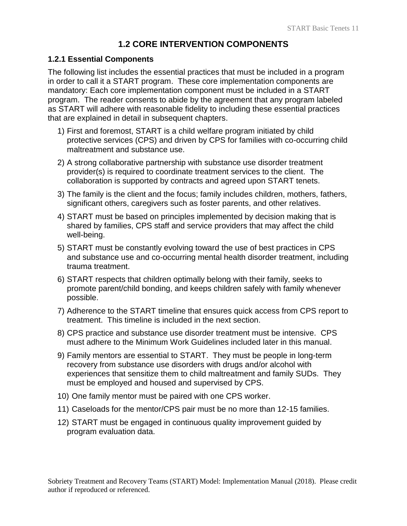# **1.2 CORE INTERVENTION COMPONENTS**

#### <span id="page-10-1"></span><span id="page-10-0"></span>**1.2.1 Essential Components**

The following list includes the essential practices that must be included in a program in order to call it a START program. These core implementation components are mandatory: Each core implementation component must be included in a START program. The reader consents to abide by the agreement that any program labeled as START will adhere with reasonable fidelity to including these essential practices that are explained in detail in subsequent chapters.

- 1) First and foremost, START is a child welfare program initiated by child protective services (CPS) and driven by CPS for families with co-occurring child maltreatment and substance use.
- 2) A strong collaborative partnership with substance use disorder treatment provider(s) is required to coordinate treatment services to the client. The collaboration is supported by contracts and agreed upon START tenets.
- 3) The family is the client and the focus; family includes children, mothers, fathers, significant others, caregivers such as foster parents, and other relatives.
- 4) START must be based on principles implemented by decision making that is shared by families, CPS staff and service providers that may affect the child well-being.
- 5) START must be constantly evolving toward the use of best practices in CPS and substance use and co-occurring mental health disorder treatment, including trauma treatment.
- 6) START respects that children optimally belong with their family, seeks to promote parent/child bonding, and keeps children safely with family whenever possible.
- 7) Adherence to the START timeline that ensures quick access from CPS report to treatment. This timeline is included in the next section.
- 8) CPS practice and substance use disorder treatment must be intensive. CPS must adhere to the Minimum Work Guidelines included later in this manual.
- 9) Family mentors are essential to START. They must be people in long-term recovery from substance use disorders with drugs and/or alcohol with experiences that sensitize them to child maltreatment and family SUDs. They must be employed and housed and supervised by CPS.
- 10) One family mentor must be paired with one CPS worker.
- 11) Caseloads for the mentor/CPS pair must be no more than 12-15 families.
- 12) START must be engaged in continuous quality improvement guided by program evaluation data.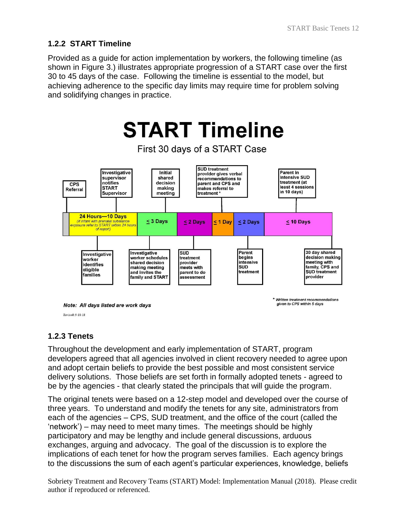# <span id="page-11-0"></span>**1.2.2 START Timeline**

Provided as a guide for action implementation by workers, the following timeline (as shown in Figure 3.) illustrates appropriate progression of a START case over the first 30 to 45 days of the case. Following the timeline is essential to the model, but achieving adherence to the specific day limits may require time for problem solving and solidifying changes in practice.



Revised: 9-18-18

# <span id="page-11-1"></span>**1.2.3 Tenets**

Throughout the development and early implementation of START, program developers agreed that all agencies involved in client recovery needed to agree upon and adopt certain beliefs to provide the best possible and most consistent service delivery solutions. Those beliefs are set forth in formally adopted tenets - agreed to be by the agencies - that clearly stated the principals that will guide the program.

The original tenets were based on a 12-step model and developed over the course of three years. To understand and modify the tenets for any site, administrators from each of the agencies – CPS, SUD treatment, and the office of the court (called the 'network') – may need to meet many times. The meetings should be highly participatory and may be lengthy and include general discussions, arduous exchanges, arguing and advocacy. The goal of the discussion is to explore the implications of each tenet for how the program serves families. Each agency brings to the discussions the sum of each agent's particular experiences, knowledge, beliefs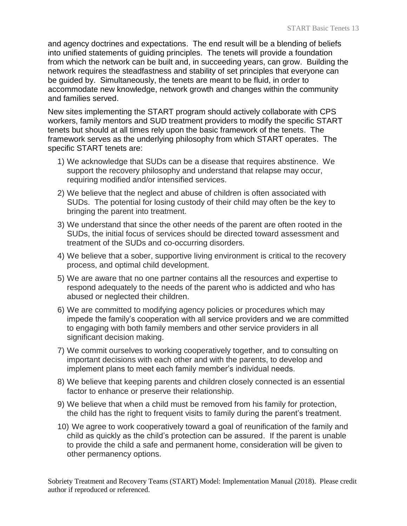and agency doctrines and expectations. The end result will be a blending of beliefs into unified statements of guiding principles. The tenets will provide a foundation from which the network can be built and, in succeeding years, can grow. Building the network requires the steadfastness and stability of set principles that everyone can be guided by. Simultaneously, the tenets are meant to be fluid, in order to accommodate new knowledge, network growth and changes within the community and families served.

New sites implementing the START program should actively collaborate with CPS workers, family mentors and SUD treatment providers to modify the specific START tenets but should at all times rely upon the basic framework of the tenets. The framework serves as the underlying philosophy from which START operates. The specific START tenets are:

- 1) We acknowledge that SUDs can be a disease that requires abstinence. We support the recovery philosophy and understand that relapse may occur, requiring modified and/or intensified services.
- 2) We believe that the neglect and abuse of children is often associated with SUDs. The potential for losing custody of their child may often be the key to bringing the parent into treatment.
- 3) We understand that since the other needs of the parent are often rooted in the SUDs, the initial focus of services should be directed toward assessment and treatment of the SUDs and co-occurring disorders.
- 4) We believe that a sober, supportive living environment is critical to the recovery process, and optimal child development.
- 5) We are aware that no one partner contains all the resources and expertise to respond adequately to the needs of the parent who is addicted and who has abused or neglected their children.
- 6) We are committed to modifying agency policies or procedures which may impede the family's cooperation with all service providers and we are committed to engaging with both family members and other service providers in all significant decision making.
- 7) We commit ourselves to working cooperatively together, and to consulting on important decisions with each other and with the parents, to develop and implement plans to meet each family member's individual needs.
- 8) We believe that keeping parents and children closely connected is an essential factor to enhance or preserve their relationship.
- 9) We believe that when a child must be removed from his family for protection, the child has the right to frequent visits to family during the parent's treatment.
- 10) We agree to work cooperatively toward a goal of reunification of the family and child as quickly as the child's protection can be assured. If the parent is unable to provide the child a safe and permanent home, consideration will be given to other permanency options.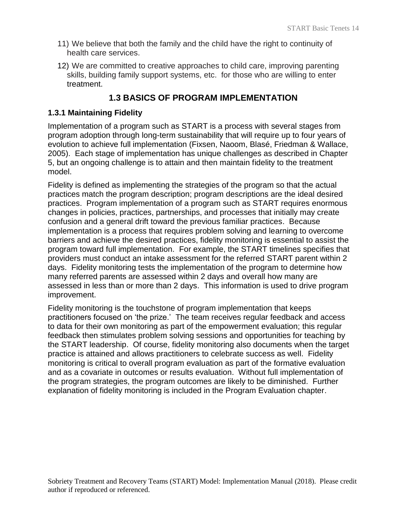- 11) We believe that both the family and the child have the right to continuity of health care services.
- 12) We are committed to creative approaches to child care, improving parenting skills, building family support systems, etc. for those who are willing to enter treatment.

# **1.3 BASICS OF PROGRAM IMPLEMENTATION**

#### <span id="page-13-1"></span><span id="page-13-0"></span>**1.3.1 Maintaining Fidelity**

Implementation of a program such as START is a process with several stages from program adoption through long-term sustainability that will require up to four years of evolution to achieve full implementation (Fixsen, Naoom, Blasé, Friedman & Wallace, 2005). Each stage of implementation has unique challenges as described in Chapter 5, but an ongoing challenge is to attain and then maintain fidelity to the treatment model.

Fidelity is defined as implementing the strategies of the program so that the actual practices match the program description; program descriptions are the ideal desired practices. Program implementation of a program such as START requires enormous changes in policies, practices, partnerships, and processes that initially may create confusion and a general drift toward the previous familiar practices. Because implementation is a process that requires problem solving and learning to overcome barriers and achieve the desired practices, fidelity monitoring is essential to assist the program toward full implementation. For example, the START timelines specifies that providers must conduct an intake assessment for the referred START parent within 2 days. Fidelity monitoring tests the implementation of the program to determine how many referred parents are assessed within 2 days and overall how many are assessed in less than or more than 2 days. This information is used to drive program improvement.

Fidelity monitoring is the touchstone of program implementation that keeps practitioners focused on 'the prize.' The team receives regular feedback and access to data for their own monitoring as part of the empowerment evaluation; this regular feedback then stimulates problem solving sessions and opportunities for teaching by the START leadership. Of course, fidelity monitoring also documents when the target practice is attained and allows practitioners to celebrate success as well. Fidelity monitoring is critical to overall program evaluation as part of the formative evaluation and as a covariate in outcomes or results evaluation. Without full implementation of the program strategies, the program outcomes are likely to be diminished. Further explanation of fidelity monitoring is included in the Program Evaluation chapter.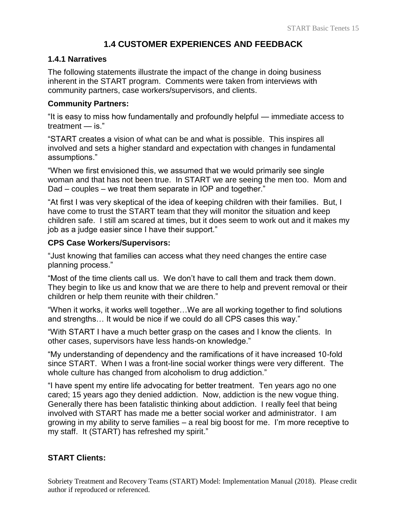# **1.4 CUSTOMER EXPERIENCES AND FEEDBACK**

#### <span id="page-14-1"></span><span id="page-14-0"></span>**1.4.1 Narratives**

The following statements illustrate the impact of the change in doing business inherent in the START program. Comments were taken from interviews with community partners, case workers/supervisors, and clients.

#### **Community Partners:**

"It is easy to miss how fundamentally and profoundly helpful — immediate access to treatment — is."

"START creates a vision of what can be and what is possible. This inspires all involved and sets a higher standard and expectation with changes in fundamental assumptions."

"When we first envisioned this, we assumed that we would primarily see single woman and that has not been true. In START we are seeing the men too. Mom and Dad – couples – we treat them separate in IOP and together."

"At first I was very skeptical of the idea of keeping children with their families. But, I have come to trust the START team that they will monitor the situation and keep children safe. I still am scared at times, but it does seem to work out and it makes my job as a judge easier since I have their support."

#### **CPS Case Workers/Supervisors:**

"Just knowing that families can access what they need changes the entire case planning process."

"Most of the time clients call us. We don't have to call them and track them down. They begin to like us and know that we are there to help and prevent removal or their children or help them reunite with their children."

"When it works, it works well together…We are all working together to find solutions and strengths… It would be nice if we could do all CPS cases this way."

"With START I have a much better grasp on the cases and I know the clients. In other cases, supervisors have less hands-on knowledge."

"My understanding of dependency and the ramifications of it have increased 10-fold since START. When I was a front-line social worker things were very different. The whole culture has changed from alcoholism to drug addiction."

"I have spent my entire life advocating for better treatment. Ten years ago no one cared; 15 years ago they denied addiction. Now, addiction is the new vogue thing. Generally there has been fatalistic thinking about addiction. I really feel that being involved with START has made me a better social worker and administrator. I am growing in my ability to serve families – a real big boost for me. I'm more receptive to my staff. It (START) has refreshed my spirit."

# **START Clients:**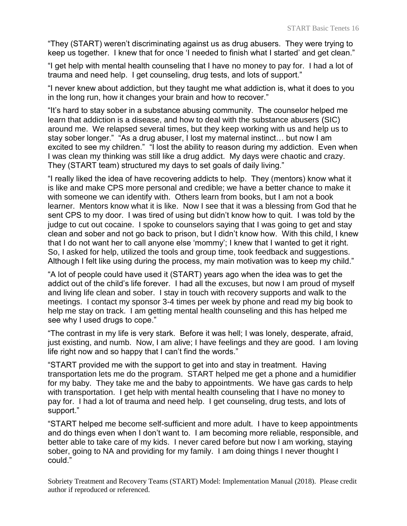"They (START) weren't discriminating against us as drug abusers. They were trying to keep us together. I knew that for once 'I needed to finish what I started' and get clean."

"I get help with mental health counseling that I have no money to pay for. I had a lot of trauma and need help. I get counseling, drug tests, and lots of support."

"I never knew about addiction, but they taught me what addiction is, what it does to you in the long run, how it changes your brain and how to recover."

"It's hard to stay sober in a substance abusing community. The counselor helped me learn that addiction is a disease, and how to deal with the substance abusers (SIC) around me. We relapsed several times, but they keep working with us and help us to stay sober longer." "As a drug abuser, I lost my maternal instinct… but now I am excited to see my children." "I lost the ability to reason during my addiction. Even when I was clean my thinking was still like a drug addict. My days were chaotic and crazy. They (START team) structured my days to set goals of daily living."

"I really liked the idea of have recovering addicts to help. They (mentors) know what it is like and make CPS more personal and credible; we have a better chance to make it with someone we can identify with. Others learn from books, but I am not a book learner. Mentors know what it is like. Now I see that it was a blessing from God that he sent CPS to my door. I was tired of using but didn't know how to quit. I was told by the judge to cut out cocaine. I spoke to counselors saying that I was going to get and stay clean and sober and not go back to prison, but I didn't know how. With this child, I knew that I do not want her to call anyone else 'mommy'; I knew that I wanted to get it right. So, I asked for help, utilized the tools and group time, took feedback and suggestions. Although I felt like using during the process, my main motivation was to keep my child."

"A lot of people could have used it (START) years ago when the idea was to get the addict out of the child's life forever. I had all the excuses, but now I am proud of myself and living life clean and sober. I stay in touch with recovery supports and walk to the meetings. I contact my sponsor 3-4 times per week by phone and read my big book to help me stay on track. I am getting mental health counseling and this has helped me see why I used drugs to cope."

"The contrast in my life is very stark. Before it was hell; I was lonely, desperate, afraid, just existing, and numb. Now, I am alive; I have feelings and they are good. I am loving life right now and so happy that I can't find the words."

"START provided me with the support to get into and stay in treatment. Having transportation lets me do the program. START helped me get a phone and a humidifier for my baby. They take me and the baby to appointments. We have gas cards to help with transportation. I get help with mental health counseling that I have no money to pay for. I had a lot of trauma and need help. I get counseling, drug tests, and lots of support."

"START helped me become self-sufficient and more adult. I have to keep appointments and do things even when I don't want to. I am becoming more reliable, responsible, and better able to take care of my kids. I never cared before but now I am working, staying sober, going to NA and providing for my family. I am doing things I never thought I could."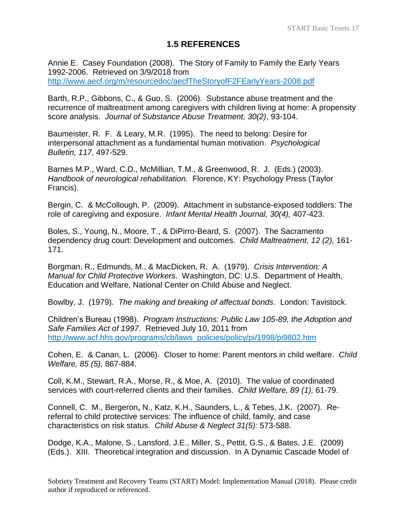# **1.5 REFERENCES**

<span id="page-16-0"></span>Annie E. Casey Foundation (2008). The Story of Family to Family the Early Years 1992-2006. Retrieved on 3/9/2018 from <http://www.aecf.org/m/resourcedoc/aecfTheStoryofF2FEarlyYears-2008.pdf>

Barth, R.P., Gibbons, C., & Guo, S. (2006). Substance abuse treatment and the recurrence of maltreatment among caregivers with children living at home: A propensity score analysis. *Journal of Substance Abuse Treatment, 30(2)*, 93-104.

Baumeister, R. F. & Leary, M.R. (1995). The need to belong: Desire for interpersonal attachment as a fundamental human motivation. *Psychological Bulletin, 117*, 497-529.

Barnes M.P., Ward, C.D., McMillian, T.M., & Greenwood, R. J. (Eds.) (2003). *Handbook of neurological rehabilitation.* Florence, KY: Psychology Press (Taylor Francis).

Bergin, C. & McCollough, P. (2009). Attachment in substance-exposed toddlers: The role of caregiving and exposure. *Infant Mental Health Journal, 30(4),* 407-423.

Boles, S., Young, N., Moore, T., & DiPirro-Beard, S. (2007). The Sacramento dependency drug court: Development and outcomes. *Child Maltreatment, 12 (2),* 161- 171.

Borgman, R., Edmunds, M., & MacDicken, R. A. (1979). *Crisis Intervention: A Manual for Child Protective Workers*. Washington, DC: U.S. Department of Health, Education and Welfare, National Center on Child Abuse and Neglect.

Bowlby, J. (1979). *The making and breaking of affectual bonds*. London: Tavistock.

Children's Bureau (1998). *Program Instructions: Public Law 105-89, the Adoption and Safe Families Act of 1997*. Retrieved July 10, 2011 from [http://www.acf.hhs.gov/programs/cb/laws\\_policies/policy/pi/1998/pi9802.htm](http://www.acf.hhs.gov/programs/cb/laws_policies/policy/pi/1998/pi9802.htm)

Cohen, E. & Canan, L. (2006). Closer to home: Parent mentors in child welfare. *Child Welfare, 85 (5),* 867-884.

Coll, K.M., Stewart, R.A., Morse, R., & Moe, A. (2010). The value of coordinated services with court-referred clients and their families. *Child Welfare, 89 (1),* 61-79.

Connell, C. M., Bergeron**,** N., Katz, K.H., Saunders, L., & Tebes, J.K. (2007). Rereferral to child protective services: The influence of child, family, and case characteristics on risk status. *Child Abuse & Neglect 31(5):* 573-588.

Dodge, K.A., Malone, S., Lansford, J.E., Miller, S., Pettit, G.S., & Bates, J.E. (2009) (Eds.). XIII. Theoretical integration and discussion. In A Dynamic Cascade Model of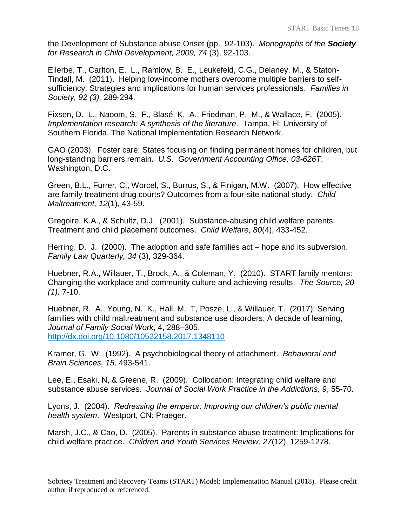the Development of Substance abuse Onset (pp. 92-103). *Monographs of the Society for Research in Child Development, 2009, 74* (3), 92-103.

Ellerbe, T., Carlton, E. L., Ramlow, B. E., Leukefeld, C.G., Delaney, M., & Staton-Tindall, M. (2011). Helping low-income mothers overcome multiple barriers to selfsufficiency: Strategies and implications for human services professionals. *Families in Society, 92 (3),* 289-294.

Fixsen, D. L., Naoom, S. F., Blasé, K. A., Friedman, P. M., & Wallace, F. (2005). *Implementation research: A synthesis of the literature.* Tampa, Fl: University of Southern Florida, The National Implementation Research Network.

GAO (2003). Foster care: States focusing on finding permanent homes for children, but long-standing barriers remain. *U.S. Government Accounting Office, 03-626T*, Washington, D.C.

Green, B.L., Furrer, C., Worcel, S., Burrus, S., & Finigan, M.W. (2007). How effective are family treatment drug courts? Outcomes from a four-site national study. *Child Maltreatment, 12*(1), 43-59.

Gregoire, K.A., & Schultz, D.J. (2001). Substance-abusing child welfare parents: Treatment and child placement outcomes. *Child Welfare, 80*(4), 433-452.

Herring, D. J. (2000). The adoption and safe families act – hope and its subversion. *Family Law Quarterly, 34* (3), 329-364.

Huebner, R.A., Willauer, T., Brock, A., & Coleman, Y. (2010). START family mentors: Changing the workplace and community culture and achieving results. *The Source, 20 (1),* 7-10.

Huebner, R. A., Young, N. K., Hall, M. T, Posze, L., & Willauer, T. (2017): Serving families with child maltreatment and substance use disorders: A decade of learning, *Journal of Family Social Work*, 4, 288–305. <http://dx.doi.org/10.1080/10522158.2017.1348110>

Kramer, G. W. (1992). A psychobiological theory of attachment. *Behavioral and Brain Sciences, 15,* 493-541.

Lee, E., Esaki, N, & Greene, R. (2009). Collocation: Integrating child welfare and substance abuse services. *Journal of Social Work Practice in the Addictions, 9*, 55-70.

Lyons, J. (2004). *Redressing the emperor: Improving our children's public mental health system*. Westport, CN: Praeger.

Marsh, J.C., & Cao, D. (2005). Parents in substance abuse treatment: Implications for child welfare practice. *Children and Youth Services Review, 27*(12), 1259-1278.